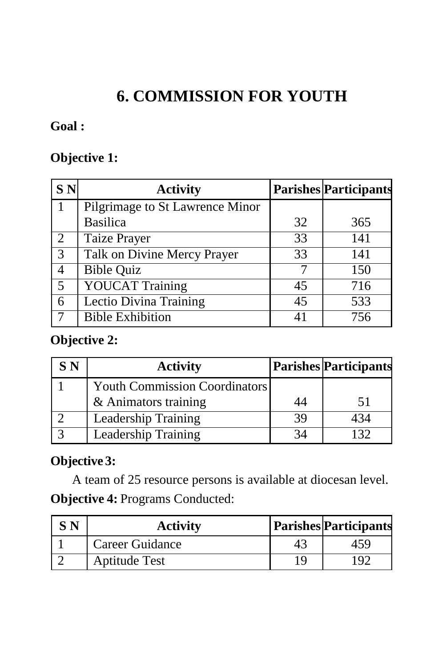# **6. COMMISSION FOR YOUTH**

## **Goal :**

#### **Objective 1:**

| <b>SN</b>      | <b>Activity</b>                 |    | <b>Parishes Participants</b> |
|----------------|---------------------------------|----|------------------------------|
|                | Pilgrimage to St Lawrence Minor |    |                              |
|                | <b>Basilica</b>                 | 32 | 365                          |
| 2              | Taize Prayer                    | 33 | 141                          |
| 3              | Talk on Divine Mercy Prayer     | 33 | 141                          |
| $\overline{4}$ | <b>Bible Quiz</b>               |    | 150                          |
| 5              | <b>YOUCAT Training</b>          | 45 | 716                          |
| 6              | Lectio Divina Training          | 45 | 533                          |
|                | <b>Bible Exhibition</b>         | 41 | 756                          |

#### **Objective 2:**

| S N | <b>Activity</b>                      |    | <b>Parishes Participants</b> |
|-----|--------------------------------------|----|------------------------------|
|     | <b>Youth Commission Coordinators</b> |    |                              |
|     | & Animators training                 | 44 | 51                           |
|     | Leadership Training                  | 39 |                              |
|     | <b>Leadership Training</b>           |    |                              |

## **Objective 3:**

A team of 25 resource persons is available at diocesan level. **Objective 4:** Programs Conducted:

| S N | <b>Activity</b>      |    | <b>Parishes Participants</b> |
|-----|----------------------|----|------------------------------|
|     | Career Guidance      | 43 | 459                          |
|     | <b>Aptitude Test</b> |    | ി                            |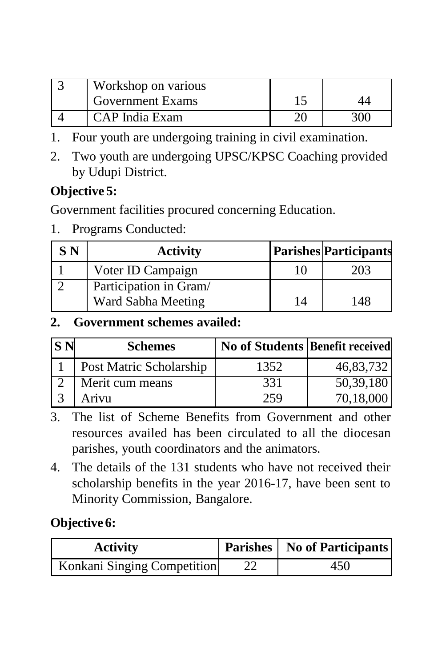| $\overline{W}$ orkshop on various |  |
|-----------------------------------|--|
| <b>Government Exams</b>           |  |
| CAP India Exam                    |  |

1. Four youth are undergoing training in civil examination.

2. Two youth are undergoing UPSC/KPSC Coaching provided by Udupi District.

# **Objective 5:**

Government facilities procured concerning Education.

1. Programs Conducted:

| <b>SN</b> | <b>Activity</b>                              | <b>Parishes Participants</b> |
|-----------|----------------------------------------------|------------------------------|
|           | Voter ID Campaign                            | 203                          |
|           | Participation in Gram/<br>Ward Sabha Meeting | 148                          |

### **2. Government schemes availed:**

| <b>SN</b> | <b>Schemes</b>          | No of Students Benefit received |           |
|-----------|-------------------------|---------------------------------|-----------|
|           | Post Matric Scholarship | 1352                            | 46,83,732 |
|           | Merit cum means         | 331                             | 50,39,180 |
|           | Arivu                   | 259                             | 70,18,000 |

- 3. The list of Scheme Benefits from Government and other resources availed has been circulated to all the diocesan parishes, youth coordinators and the animators.
- 4. The details of the 131 students who have not received their scholarship benefits in the year 2016-17, have been sent to Minority Commission, Bangalore.

# **Objective 6:**

| <b>Activity</b>             | <b>Parishes</b>   No of Participants |
|-----------------------------|--------------------------------------|
| Konkani Singing Competition | 450                                  |